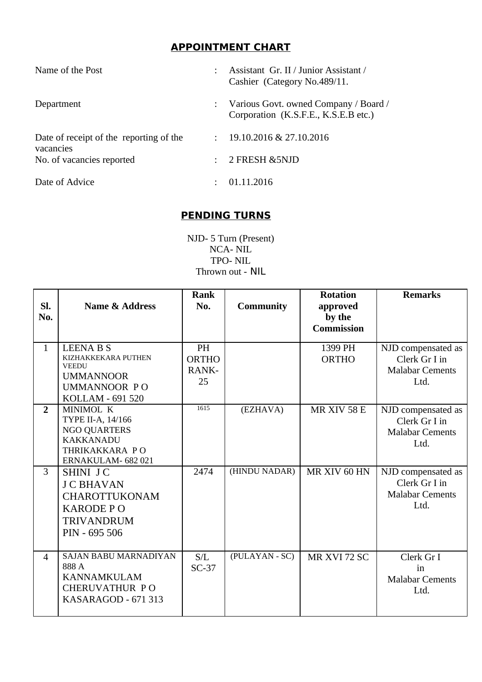## **APPOINTMENT CHART**

| Name of the Post                                     | Assistant Gr. II / Junior Assistant /<br>Cashier (Category No.489/11.         |
|------------------------------------------------------|-------------------------------------------------------------------------------|
| Department                                           | Various Govt. owned Company / Board /<br>Corporation (K.S.F.E., K.S.E.B etc.) |
| Date of receipt of the reporting of the<br>vacancies | 19.10.2016 & 27.10.2016                                                       |
| No. of vacancies reported                            | 2 FRESH & 5NJD                                                                |
| Date of Advice                                       | 01.11.2016                                                                    |

## **PENDING TURNS**

NJD- 5 Turn (Present) NCA- NIL TPO- NIL Thrown out - NIL

| SI.<br>No.     | <b>Name &amp; Address</b>                                                                                              | <b>Rank</b><br>No.                | <b>Community</b> | <b>Rotation</b><br>approved<br>by the<br><b>Commission</b> | <b>Remarks</b>                                                        |
|----------------|------------------------------------------------------------------------------------------------------------------------|-----------------------------------|------------------|------------------------------------------------------------|-----------------------------------------------------------------------|
| $\mathbf{1}$   | <b>LEENA B S</b><br>KIZHAKKEKARA PUTHEN<br><b>VEEDU</b><br><b>UMMANNOOR</b><br><b>UMMANNOOR PO</b><br>KOLLAM - 691 520 | PH<br><b>ORTHO</b><br>RANK-<br>25 |                  | 1399 PH<br><b>ORTHO</b>                                    | NJD compensated as<br>Clerk Gr I in<br><b>Malabar Cements</b><br>Ltd. |
| $\overline{2}$ | MINIMOL K<br>TYPE II-A, 14/166<br><b>NGO QUARTERS</b><br><b>KAKKANADU</b><br>THRIKAKKARA PO<br>ERNAKULAM- 682 021      | 1615                              | (EZHAVA)         | MR XIV 58 E                                                | NJD compensated as<br>Clerk Gr I in<br><b>Malabar Cements</b><br>Ltd. |
| $\overline{3}$ | SHINI JC<br><b>J C BHAVAN</b><br><b>CHAROTTUKONAM</b><br><b>KARODE PO</b><br><b>TRIVANDRUM</b><br>PIN - 695 506        | 2474                              | (HINDU NADAR)    | MR XIV 60 HN                                               | NJD compensated as<br>Clerk Gr I in<br><b>Malabar Cements</b><br>Ltd. |
| $\overline{4}$ | SAJAN BABU MARNADIYAN<br>888 A<br><b>KANNAMKULAM</b><br><b>CHERUVATHUR PO</b><br>KASARAGOD - 671 313                   | S/L<br>$SC-37$                    | (PULAYAN - SC)   | MR XVI 72 SC                                               | Clerk Gr I<br>in<br><b>Malabar Cements</b><br>Ltd.                    |